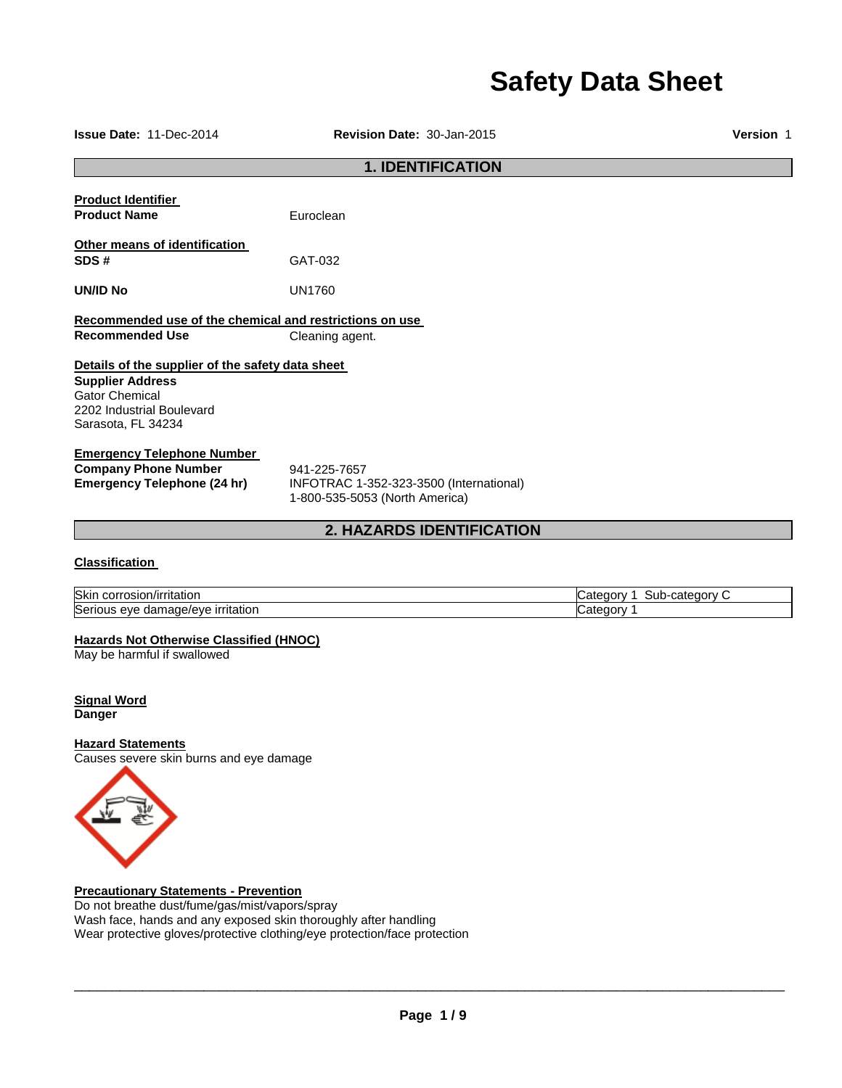# **Safety Data Sheet**

**Issue Date:** 11-Dec-2014 **Revision Date:** 30-Jan-2015 **Version** 1

# **1. IDENTIFICATION Product Identifier Product Name Euroclean Other means of identification SDS #** GAT-032 **UN/ID No** UN1760 **Recommended use of the chemical and restrictions on use Recommended Use Cleaning agent. Details of the supplier of the safety data sheet Supplier Address** Gator Chemical 2202 Industrial Boulevard Sarasota, FL 34234 **Emergency Telephone Number Company Phone Number** 941-225-7657<br>**Emergency Telephone (24 hr)** INFOTRAC 1-**Emergency Telephone (24 hr)** INFOTRAC 1-352-323-3500 (International) 1-800-535-5053 (North America)

## **2. HAZARDS IDENTIFICATION**

### **Classification**

| Skin<br>n/irritation<br>corr<br>aosion.            | ∙category<br>∽-ubٽ<br>ater.<br>Jaory.<br>$\sim$ |
|----------------------------------------------------|-------------------------------------------------|
| , irritatior<br>mage/eve.<br>Serious<br>dar<br>eve | ;ateɑor∖<br>. .                                 |

## **Hazards Not Otherwise Classified (HNOC)**

May be harmful if swallowed

**Signal Word Danger** 

## **Hazard Statements**

Causes severe skin burns and eye damage



**Precautionary Statements - Prevention**

Do not breathe dust/fume/gas/mist/vapors/spray Wash face, hands and any exposed skin thoroughly after handling Wear protective gloves/protective clothing/eye protection/face protection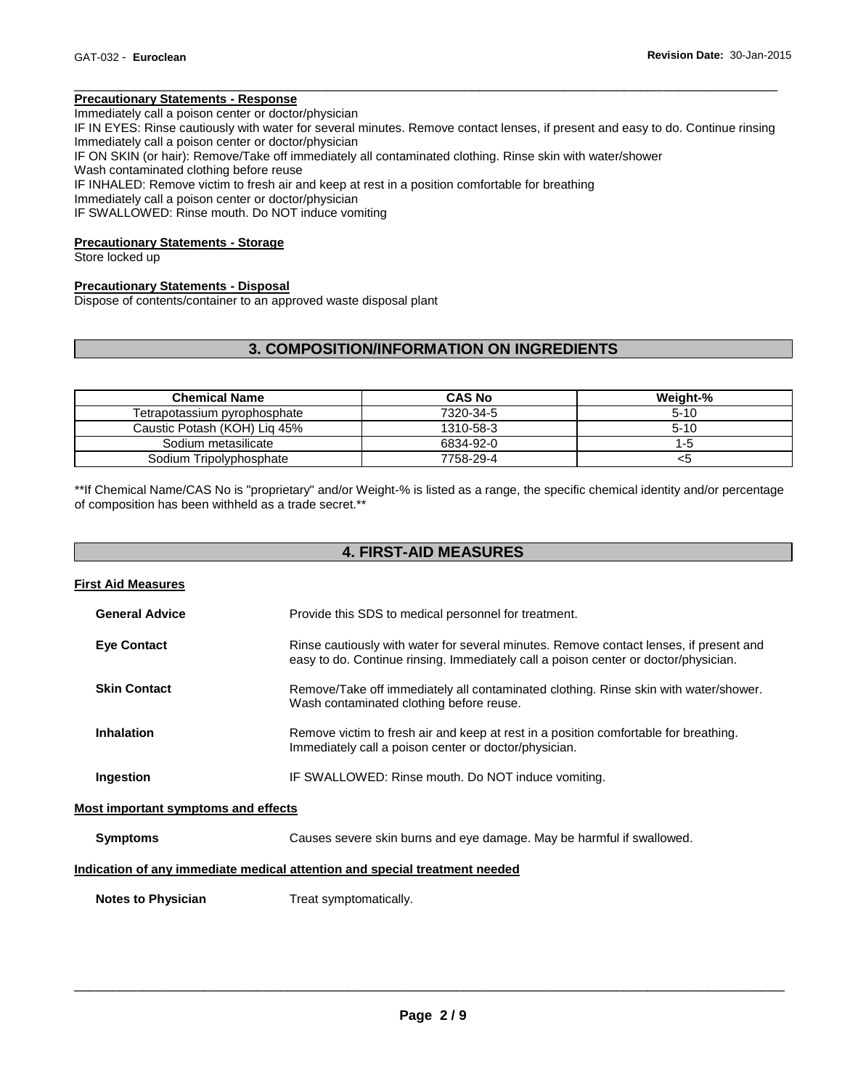## **Precautionary Statements - Response**

Immediately call a poison center or doctor/physician

IF IN EYES: Rinse cautiously with water for several minutes. Remove contact lenses, if present and easy to do. Continue rinsing Immediately call a poison center or doctor/physician

\_\_\_\_\_\_\_\_\_\_\_\_\_\_\_\_\_\_\_\_\_\_\_\_\_\_\_\_\_\_\_\_\_\_\_\_\_\_\_\_\_\_\_\_\_\_\_\_\_\_\_\_\_\_\_\_\_\_\_\_\_\_\_\_\_\_\_\_\_\_\_\_\_\_\_\_\_\_\_\_\_\_\_\_\_\_\_\_\_\_\_\_

IF ON SKIN (or hair): Remove/Take off immediately all contaminated clothing. Rinse skin with water/shower

Wash contaminated clothing before reuse

IF INHALED: Remove victim to fresh air and keep at rest in a position comfortable for breathing

Immediately call a poison center or doctor/physician

IF SWALLOWED: Rinse mouth. Do NOT induce vomiting

#### **Precautionary Statements - Storage**

Store locked up

#### **Precautionary Statements - Disposal**

Dispose of contents/container to an approved waste disposal plant

## **3. COMPOSITION/INFORMATION ON INGREDIENTS**

| <b>Chemical Name</b>         | <b>CAS No</b> | Weight-% |
|------------------------------|---------------|----------|
| Tetrapotassium pyrophosphate | 7320-34-5     | $5 - 10$ |
| Caustic Potash (KOH) Lig 45% | 1310-58-3     | $5 - 10$ |
| Sodium metasilicate          | 6834-92-0     | 1-5      |
| Sodium Tripolyphosphate      | 7758-29-4     | <5       |

\*\*If Chemical Name/CAS No is "proprietary" and/or Weight-% is listed as a range, the specific chemical identity and/or percentage of composition has been withheld as a trade secret.\*\*

## **4. FIRST-AID MEASURES**

| <b>First Aid Measures</b>           |                                                                                                                                                                               |
|-------------------------------------|-------------------------------------------------------------------------------------------------------------------------------------------------------------------------------|
| <b>General Advice</b>               | Provide this SDS to medical personnel for treatment.                                                                                                                          |
| <b>Eye Contact</b>                  | Rinse cautiously with water for several minutes. Remove contact lenses, if present and<br>easy to do. Continue rinsing. Immediately call a poison center or doctor/physician. |
| <b>Skin Contact</b>                 | Remove/Take off immediately all contaminated clothing. Rinse skin with water/shower.<br>Wash contaminated clothing before reuse.                                              |
| <b>Inhalation</b>                   | Remove victim to fresh air and keep at rest in a position comfortable for breathing.<br>Immediately call a poison center or doctor/physician.                                 |
| Ingestion                           | IF SWALLOWED: Rinse mouth. Do NOT induce vomiting.                                                                                                                            |
| Most important symptoms and effects |                                                                                                                                                                               |
| <b>Symptoms</b>                     | Causes severe skin burns and eye damage. May be harmful if swallowed.                                                                                                         |
|                                     | <u>Indication of any immediate medical etterion and enecial treatment needed</u>                                                                                              |

#### **Indication of any immediate medical attention and special treatment needed**

**Notes to Physician Treat symptomatically.**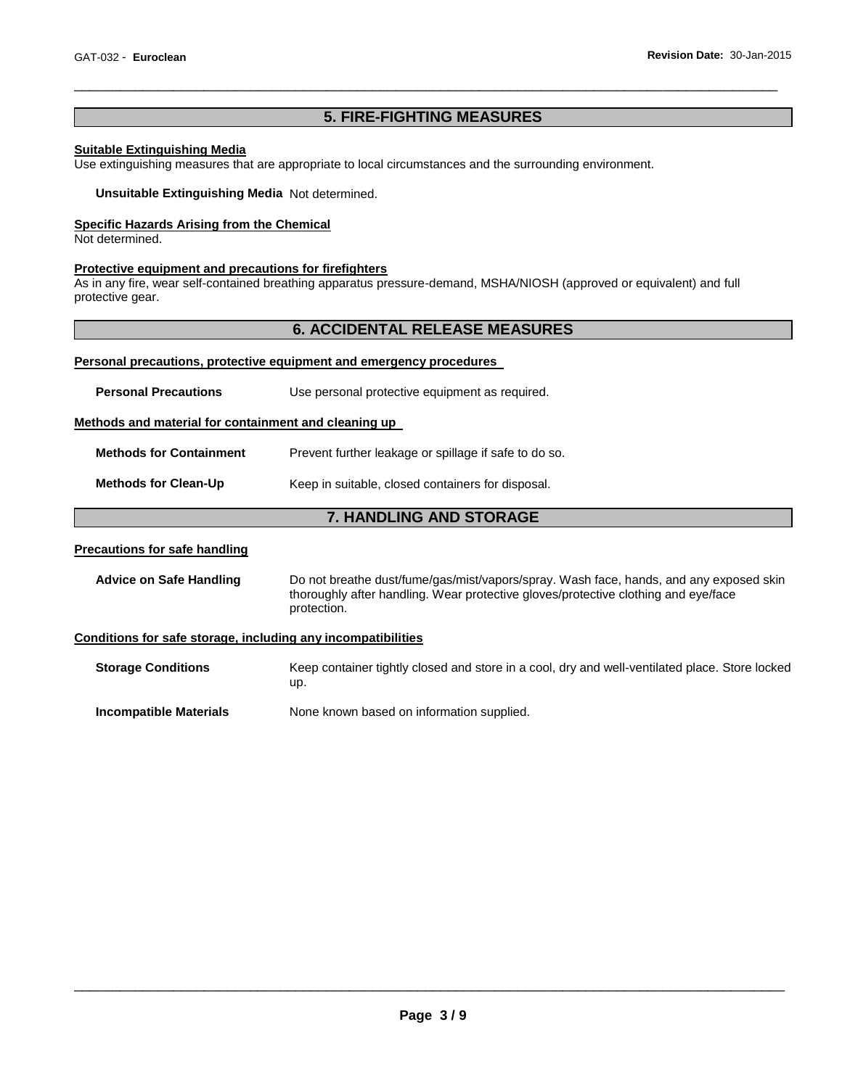## **5. FIRE-FIGHTING MEASURES**

\_\_\_\_\_\_\_\_\_\_\_\_\_\_\_\_\_\_\_\_\_\_\_\_\_\_\_\_\_\_\_\_\_\_\_\_\_\_\_\_\_\_\_\_\_\_\_\_\_\_\_\_\_\_\_\_\_\_\_\_\_\_\_\_\_\_\_\_\_\_\_\_\_\_\_\_\_\_\_\_\_\_\_\_\_\_\_\_\_\_\_\_

#### **Suitable Extinguishing Media**

Use extinguishing measures that are appropriate to local circumstances and the surrounding environment.

**Unsuitable Extinguishing Media** Not determined.

#### **Specific Hazards Arising from the Chemical**

Not determined.

#### **Protective equipment and precautions for firefighters**

As in any fire, wear self-contained breathing apparatus pressure-demand, MSHA/NIOSH (approved or equivalent) and full protective gear.

## **6. ACCIDENTAL RELEASE MEASURES**

## **Personal precautions, protective equipment and emergency procedures**

|                                                      | <b>7. HANDLING AND STORAGE</b>                        |
|------------------------------------------------------|-------------------------------------------------------|
| <b>Methods for Clean-Up</b>                          | Keep in suitable, closed containers for disposal.     |
| <b>Methods for Containment</b>                       | Prevent further leakage or spillage if safe to do so. |
| Methods and material for containment and cleaning up |                                                       |
| <b>Personal Precautions</b>                          | Use personal protective equipment as required.        |
|                                                      |                                                       |

#### **Precautions for safe handling**

**Advice on Safe Handling** Do not breathe dust/fume/gas/mist/vapors/spray. Wash face, hands, and any exposed skin thoroughly after handling. Wear protective gloves/protective clothing and eye/face protection.

#### **Conditions for safe storage, including any incompatibilities**

**Storage Conditions** Keep container tightly closed and store in a cool, dry and well-ventilated place. Store locked up.

**Incompatible Materials None known based on information supplied.**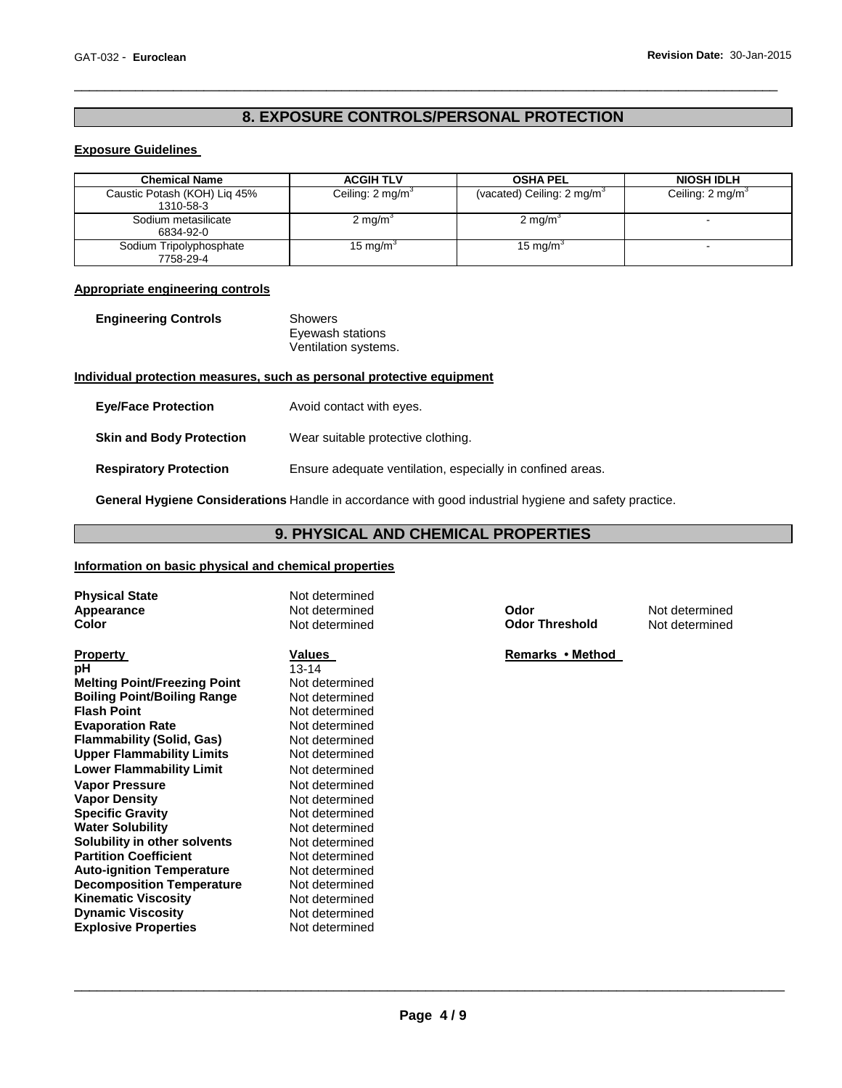# **8. EXPOSURE CONTROLS/PERSONAL PROTECTION**

\_\_\_\_\_\_\_\_\_\_\_\_\_\_\_\_\_\_\_\_\_\_\_\_\_\_\_\_\_\_\_\_\_\_\_\_\_\_\_\_\_\_\_\_\_\_\_\_\_\_\_\_\_\_\_\_\_\_\_\_\_\_\_\_\_\_\_\_\_\_\_\_\_\_\_\_\_\_\_\_\_\_\_\_\_\_\_\_\_\_\_\_

## **Exposure Guidelines**

| <b>Chemical Name</b>                      | <b>ACGIH TLV</b>            | <b>OSHA PEL</b>                       | <b>NIOSH IDLH</b>           |
|-------------------------------------------|-----------------------------|---------------------------------------|-----------------------------|
| Caustic Potash (KOH) Lig 45%<br>1310-58-3 | Ceiling: $2 \text{ mg/m}^3$ | (vacated) Ceiling: $2 \text{ mg/m}^3$ | Ceiling: $2 \text{ mg/m}^3$ |
| Sodium metasilicate<br>6834-92-0          | $2 \text{ mg/m}^3$          | $2 \text{ mg/m}^3$                    |                             |
| Sodium Tripolyphosphate<br>7758-29-4      | 15 mg/m <sup>3</sup>        | 15 mg/m <sup>3</sup>                  |                             |

#### **Appropriate engineering controls**

| <b>Engineering Controls</b> | Showers              |
|-----------------------------|----------------------|
|                             | Eyewash stations     |
|                             | Ventilation systems. |

## **Individual protection measures, such as personal protective equipment**

| <b>Eye/Face Protection</b>      | Avoid contact with eyes.                                   |
|---------------------------------|------------------------------------------------------------|
| <b>Skin and Body Protection</b> | Wear suitable protective clothing.                         |
| <b>Respiratory Protection</b>   | Ensure adequate ventilation, especially in confined areas. |

**General Hygiene Considerations** Handle in accordance with good industrial hygiene and safety practice.

## **9. PHYSICAL AND CHEMICAL PROPERTIES**

## **Information on basic physical and chemical properties**

| <b>Physical State</b>               | Not determined |                       |                |
|-------------------------------------|----------------|-----------------------|----------------|
| Appearance                          | Not determined | Odor                  | Not determined |
| Color                               | Not determined | <b>Odor Threshold</b> | Not determined |
|                                     |                |                       |                |
| <b>Property</b>                     | Values         | Remarks • Method      |                |
| рH                                  | $13 - 14$      |                       |                |
| <b>Melting Point/Freezing Point</b> | Not determined |                       |                |
| <b>Boiling Point/Boiling Range</b>  | Not determined |                       |                |
| <b>Flash Point</b>                  | Not determined |                       |                |
| <b>Evaporation Rate</b>             | Not determined |                       |                |
| <b>Flammability (Solid, Gas)</b>    | Not determined |                       |                |
| <b>Upper Flammability Limits</b>    | Not determined |                       |                |
| <b>Lower Flammability Limit</b>     | Not determined |                       |                |
| <b>Vapor Pressure</b>               | Not determined |                       |                |
| <b>Vapor Density</b>                | Not determined |                       |                |
| <b>Specific Gravity</b>             | Not determined |                       |                |
| <b>Water Solubility</b>             | Not determined |                       |                |
| Solubility in other solvents        | Not determined |                       |                |
| <b>Partition Coefficient</b>        | Not determined |                       |                |
| <b>Auto-ignition Temperature</b>    | Not determined |                       |                |
| <b>Decomposition Temperature</b>    | Not determined |                       |                |
| <b>Kinematic Viscosity</b>          | Not determined |                       |                |
| <b>Dynamic Viscosity</b>            | Not determined |                       |                |
| <b>Explosive Properties</b>         | Not determined |                       |                |
|                                     |                |                       |                |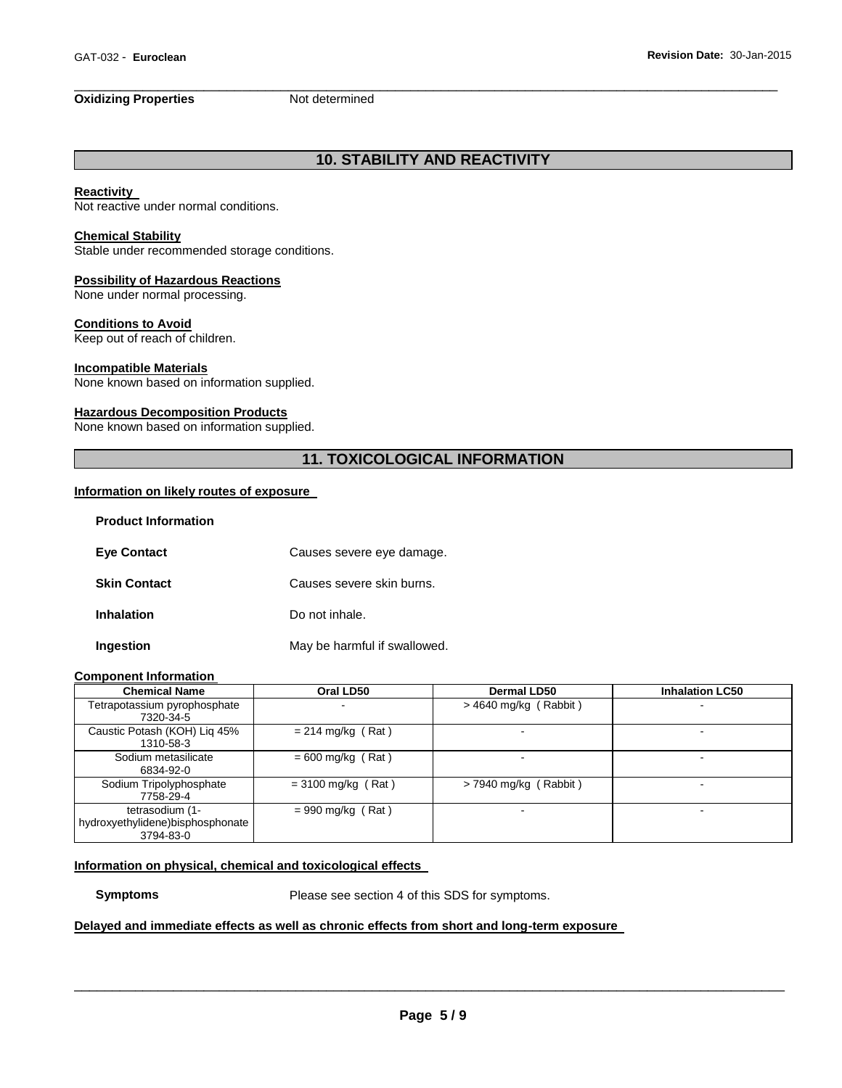## **Oxidizing Properties** Not determined

# **10. STABILITY AND REACTIVITY**

\_\_\_\_\_\_\_\_\_\_\_\_\_\_\_\_\_\_\_\_\_\_\_\_\_\_\_\_\_\_\_\_\_\_\_\_\_\_\_\_\_\_\_\_\_\_\_\_\_\_\_\_\_\_\_\_\_\_\_\_\_\_\_\_\_\_\_\_\_\_\_\_\_\_\_\_\_\_\_\_\_\_\_\_\_\_\_\_\_\_\_\_

#### **Reactivity**

Not reactive under normal conditions.

#### **Chemical Stability**

Stable under recommended storage conditions.

### **Possibility of Hazardous Reactions**

None under normal processing.

## **Conditions to Avoid**

Keep out of reach of children.

#### **Incompatible Materials**

None known based on information supplied.

#### **Hazardous Decomposition Products**

None known based on information supplied.

## **11. TOXICOLOGICAL INFORMATION**

## **Information on likely routes of exposure**

| <b>Product Information</b> |                              |
|----------------------------|------------------------------|
| <b>Eye Contact</b>         | Causes severe eye damage.    |
| <b>Skin Contact</b>        | Causes severe skin burns.    |
| <b>Inhalation</b>          | Do not inhale.               |
| Ingestion                  | May be harmful if swallowed. |

#### **Component Information**

| <b>Chemical Name</b>             | Oral LD50            | <b>Dermal LD50</b>      | <b>Inhalation LC50</b> |
|----------------------------------|----------------------|-------------------------|------------------------|
| Tetrapotassium pyrophosphate     |                      | $>$ 4640 mg/kg (Rabbit) |                        |
| 7320-34-5                        |                      |                         |                        |
| Caustic Potash (KOH) Lig 45%     | $= 214$ mg/kg (Rat)  |                         |                        |
| 1310-58-3                        |                      |                         |                        |
| Sodium metasilicate              | $= 600$ mg/kg (Rat)  |                         |                        |
| 6834-92-0                        |                      |                         |                        |
| Sodium Tripolyphosphate          | $=$ 3100 mg/kg (Rat) | $> 7940$ mg/kg (Rabbit) | -                      |
| 7758-29-4                        |                      |                         |                        |
| tetrasodium (1-                  | $= 990$ mg/kg (Rat)  |                         | -                      |
| hydroxyethylidene)bisphosphonate |                      |                         |                        |
| 3794-83-0                        |                      |                         |                        |

#### **Information on physical, chemical and toxicological effects**

**Symptoms** Please see section 4 of this SDS for symptoms.

## **Delayed and immediate effects as well as chronic effects from short and long-term exposure**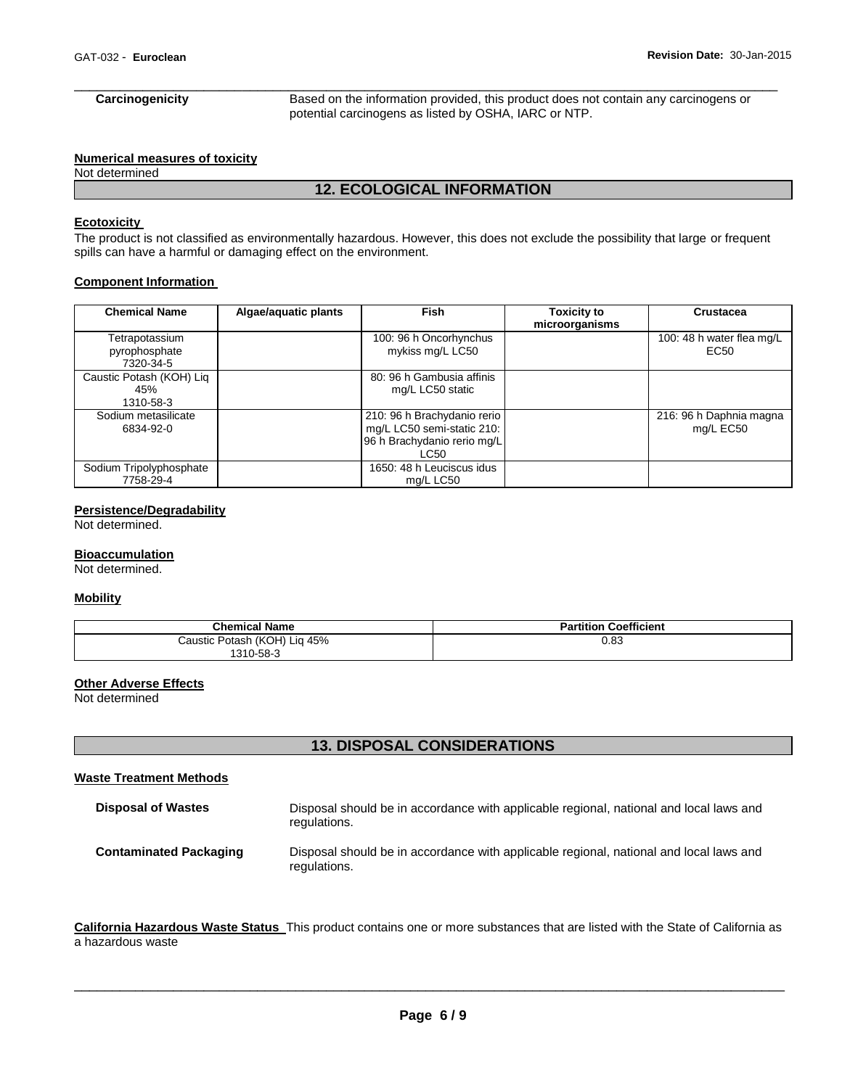# \_\_\_\_\_\_\_\_\_\_\_\_\_\_\_\_\_\_\_\_\_\_\_\_\_\_\_\_\_\_\_\_\_\_\_\_\_\_\_\_\_\_\_\_\_\_\_\_\_\_\_\_\_\_\_\_\_\_\_\_\_\_\_\_\_\_\_\_\_\_\_\_\_\_\_\_\_\_\_\_\_\_\_\_\_\_\_\_\_\_\_\_

**Carcinogenicity** Based on the information provided, this product does not contain any carcinogens or potential carcinogens as listed by OSHA, IARC or NTP.

#### **Numerical measures of toxicity**

Not determined

## **12. ECOLOGICAL INFORMATION**

## **Ecotoxicity**

The product is not classified as environmentally hazardous. However, this does not exclude the possibility that large or frequent spills can have a harmful or damaging effect on the environment.

#### **Component Information**

| <b>Chemical Name</b>                         | Algae/aquatic plants | <b>Fish</b>                                                                                      | <b>Toxicity to</b><br>microorganisms | Crustacea                            |
|----------------------------------------------|----------------------|--------------------------------------------------------------------------------------------------|--------------------------------------|--------------------------------------|
| Tetrapotassium<br>pyrophosphate<br>7320-34-5 |                      | 100: 96 h Oncorhynchus<br>mykiss mg/L LC50                                                       |                                      | 100: 48 h water flea mg/L<br>EC50    |
| Caustic Potash (KOH) Liq<br>45%<br>1310-58-3 |                      | 80: 96 h Gambusia affinis<br>mg/L LC50 static                                                    |                                      |                                      |
| Sodium metasilicate<br>6834-92-0             |                      | 210: 96 h Brachydanio rerio<br>mg/L LC50 semi-static 210:<br>96 h Brachydanio rerio mg/L<br>LC50 |                                      | 216: 96 h Daphnia magna<br>mg/L EC50 |
| Sodium Tripolyphosphate<br>7758-29-4         |                      | 1650: 48 h Leuciscus idus<br>mg/L LC50                                                           |                                      |                                      |

## **Persistence/Degradability**

Not determined.

#### **Bioaccumulation**

Not determined.

#### **Mobility**

| <b>Chemical Name</b>         | <b>Partition Coefficient</b> |
|------------------------------|------------------------------|
| Caustic Potash (KOH) Lig 45% | 0.83                         |
| 1310-58-3                    |                              |

## **Other Adverse Effects**

Not determined

## **13. DISPOSAL CONSIDERATIONS**

## **Waste Treatment Methods**

| <b>Disposal of Wastes</b>     | Disposal should be in accordance with applicable regional, national and local laws and<br>regulations. |
|-------------------------------|--------------------------------------------------------------------------------------------------------|
| <b>Contaminated Packaging</b> | Disposal should be in accordance with applicable regional, national and local laws and<br>regulations. |

**California Hazardous Waste Status** This product contains one or more substances that are listed with the State of California as a hazardous waste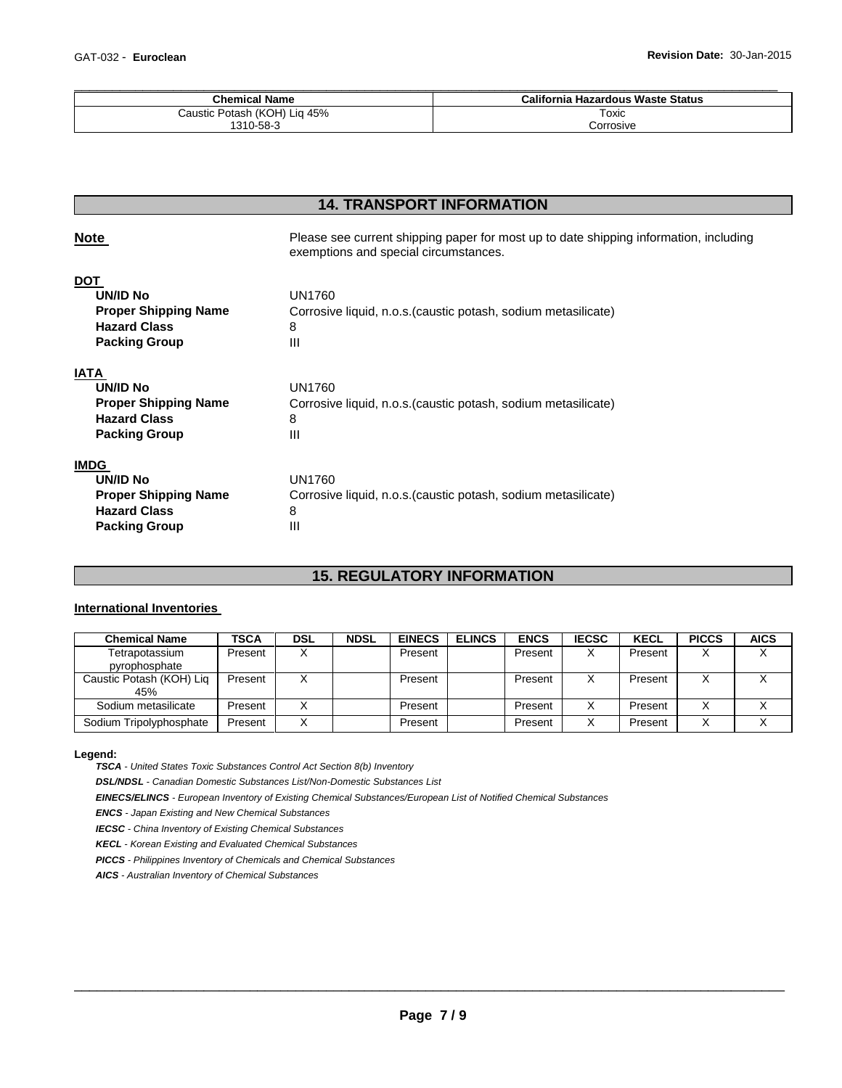| <b>Chemical Name</b>         | California Hazardous Waste Status |
|------------------------------|-----------------------------------|
| Caustic Potash (KOH) Liq 45% | Toxic                             |
| 1310-58-3                    | Corrosive                         |

## **14. TRANSPORT INFORMATION**

| <b>Note</b>                                                                                                  | Please see current shipping paper for most up to date shipping information, including<br>exemptions and special circumstances. |
|--------------------------------------------------------------------------------------------------------------|--------------------------------------------------------------------------------------------------------------------------------|
| <b>DOT</b><br><b>UN/ID No</b><br><b>Proper Shipping Name</b><br><b>Hazard Class</b><br><b>Packing Group</b>  | UN1760<br>Corrosive liquid, n.o.s. (caustic potash, sodium metasilicate)<br>8<br>Ш                                             |
| <b>IATA</b><br><b>UN/ID No</b><br><b>Proper Shipping Name</b><br><b>Hazard Class</b><br><b>Packing Group</b> | UN1760<br>Corrosive liquid, n.o.s. (caustic potash, sodium metasilicate)<br>8<br>Ш                                             |
| <b>IMDG</b><br><b>UN/ID No</b><br><b>Proper Shipping Name</b><br><b>Hazard Class</b><br><b>Packing Group</b> | UN1760<br>Corrosive liquid, n.o.s. (caustic potash, sodium metasilicate)<br>8<br>Ш                                             |

## **15. REGULATORY INFORMATION**

## **International Inventories**

| <b>Chemical Name</b>     | <b>TSCA</b> | <b>DSL</b> | <b>NDSL</b> | <b>EINECS</b> | <b>ELINCS</b> | <b>ENCS</b> | <b>IECSC</b> | <b>KECL</b> | <b>PICCS</b> | <b>AICS</b> |
|--------------------------|-------------|------------|-------------|---------------|---------------|-------------|--------------|-------------|--------------|-------------|
| Tetrapotassium           | Present     |            |             | Present       |               | Present     | х            | Present     |              |             |
| pyrophosphate            |             |            |             |               |               |             |              |             |              |             |
| Caustic Potash (KOH) Liq | Present     |            |             | Present       |               | Present     |              | Present     |              |             |
| 45%                      |             |            |             |               |               |             |              |             |              |             |
| Sodium metasilicate      | Present     |            |             | Present       |               | Present     |              | Present     |              |             |
| Sodium Tripolyphosphate  | Present     |            |             | Present       |               | Present     |              | Present     |              |             |

#### **Legend:**

*TSCA - United States Toxic Substances Control Act Section 8(b) Inventory* 

*DSL/NDSL - Canadian Domestic Substances List/Non-Domestic Substances List* 

*EINECS/ELINCS - European Inventory of Existing Chemical Substances/European List of Notified Chemical Substances* 

*ENCS - Japan Existing and New Chemical Substances* 

*IECSC - China Inventory of Existing Chemical Substances* 

*KECL - Korean Existing and Evaluated Chemical Substances* 

*PICCS - Philippines Inventory of Chemicals and Chemical Substances* 

*AICS - Australian Inventory of Chemical Substances*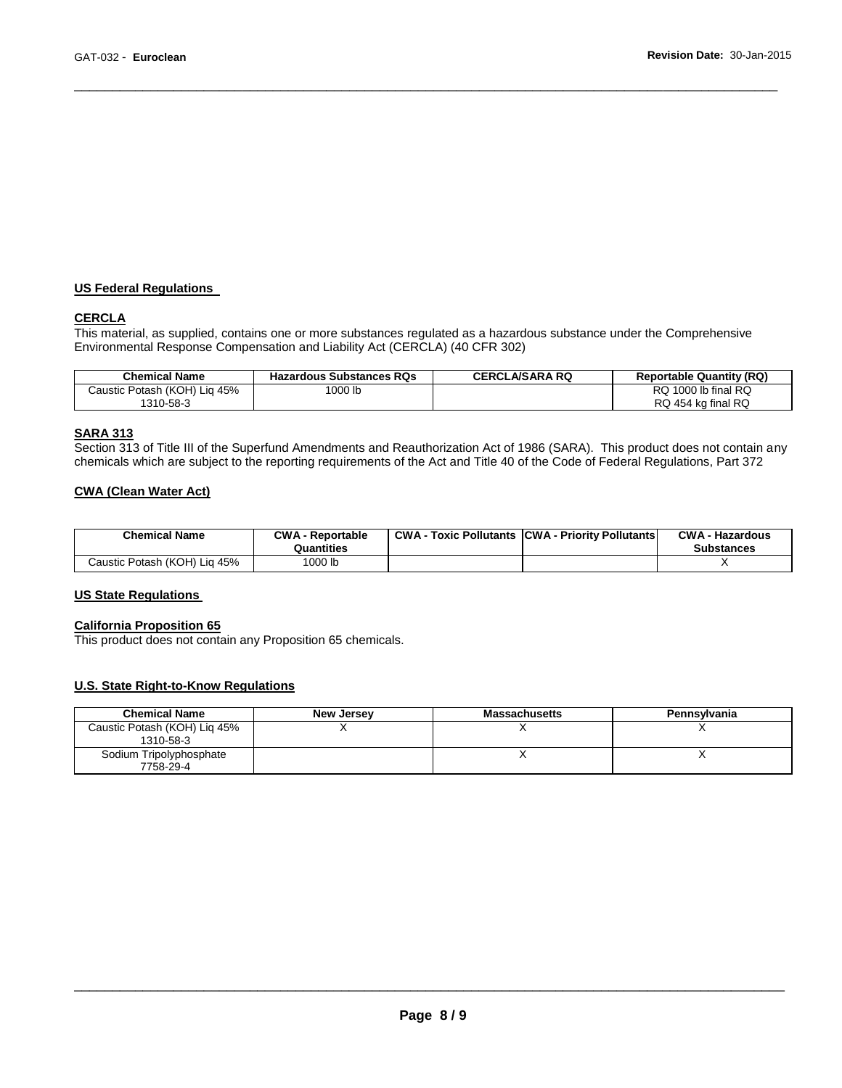## **US Federal Regulations**

## **CERCLA**

This material, as supplied, contains one or more substances regulated as a hazardous substance under the Comprehensive Environmental Response Compensation and Liability Act (CERCLA) (40 CFR 302)

\_\_\_\_\_\_\_\_\_\_\_\_\_\_\_\_\_\_\_\_\_\_\_\_\_\_\_\_\_\_\_\_\_\_\_\_\_\_\_\_\_\_\_\_\_\_\_\_\_\_\_\_\_\_\_\_\_\_\_\_\_\_\_\_\_\_\_\_\_\_\_\_\_\_\_\_\_\_\_\_\_\_\_\_\_\_\_\_\_\_\_\_

| <b>Chemical Name</b>            | <b>Hazardous Substances RQs</b> | <b>CERCLA/SARA RQ</b> | <b>Reportable Quantity (RQ)</b> |
|---------------------------------|---------------------------------|-----------------------|---------------------------------|
| Potash (KOH) Lig 45%<br>Caustic | $1000$ lb                       |                       | 1000 lb final $RQ$<br>RQ.       |
| 1310-58-3                       |                                 |                       | RQ 454 kg final RQ              |

## **SARA 313**

Section 313 of Title III of the Superfund Amendments and Reauthorization Act of 1986 (SARA). This product does not contain any chemicals which are subject to the reporting requirements of the Act and Title 40 of the Code of Federal Regulations, Part 372

## **CWA (Clean Water Act)**

| <b>Chemical Name</b>         | <b>CWA - Reportable</b><br>Quantities | <b>CWA - Toxic Pollutants CWA - Priority Pollutants</b> | <b>CWA - Hazardous</b><br><b>Substances</b> |
|------------------------------|---------------------------------------|---------------------------------------------------------|---------------------------------------------|
| Caustic Potash (KOH) Lig 45% | 1000 lb                               |                                                         |                                             |

#### **US State Regulations**

#### **California Proposition 65**

This product does not contain any Proposition 65 chemicals.

## **U.S. State Right-to-Know Regulations**

| <b>Chemical Name</b>                      | <b>New Jersey</b> | <b>Massachusetts</b> | Pennsylvania |
|-------------------------------------------|-------------------|----------------------|--------------|
| Caustic Potash (KOH) Lig 45%<br>1310-58-3 |                   |                      |              |
| Sodium Tripolyphosphate<br>7758-29-4      |                   |                      |              |